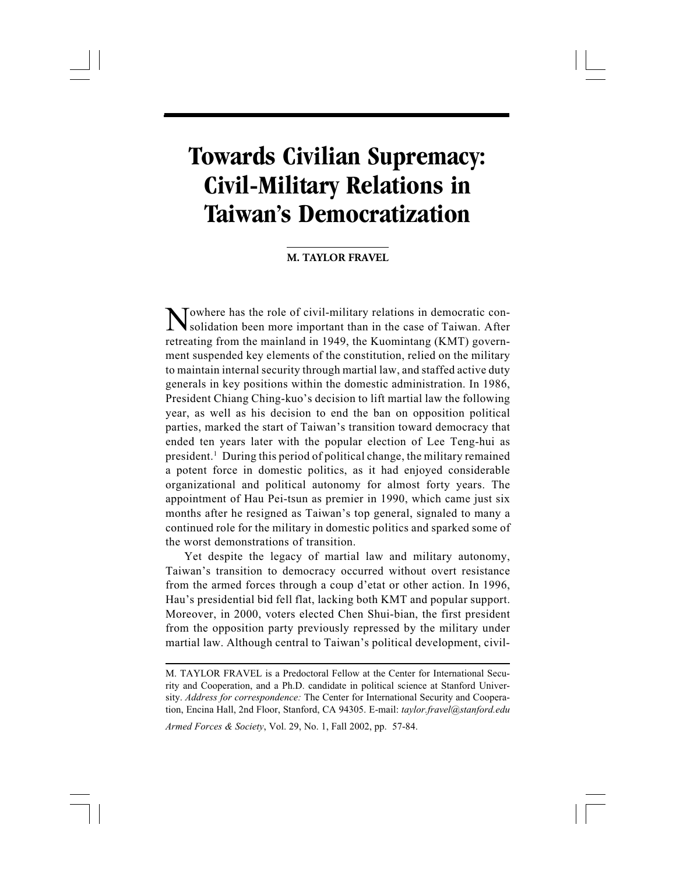# **Towards Civilian Supremacy: Civil-Military Relations in Taiwan's Democratization**

Fravel 57

# **M. TAYLOR FRAVEL**

Towhere has the role of civil-military relations in democratic consolidation been more important than in the case of Taiwan. After retreating from the mainland in 1949, the Kuomintang (KMT) government suspended key elements of the constitution, relied on the military to maintain internal security through martial law, and staffed active duty generals in key positions within the domestic administration. In 1986, President Chiang Ching-kuo's decision to lift martial law the following year, as well as his decision to end the ban on opposition political parties, marked the start of Taiwan's transition toward democracy that ended ten years later with the popular election of Lee Teng-hui as president.1 During this period of political change, the military remained a potent force in domestic politics, as it had enjoyed considerable organizational and political autonomy for almost forty years. The appointment of Hau Pei-tsun as premier in 1990, which came just six months after he resigned as Taiwan's top general, signaled to many a continued role for the military in domestic politics and sparked some of the worst demonstrations of transition.

Yet despite the legacy of martial law and military autonomy, Taiwan's transition to democracy occurred without overt resistance from the armed forces through a coup d'etat or other action. In 1996, Hau's presidential bid fell flat, lacking both KMT and popular support. Moreover, in 2000, voters elected Chen Shui-bian, the first president from the opposition party previously repressed by the military under martial law. Although central to Taiwan's political development, civil-

Armed Forces & Society, Vol. 29, No. 1, Fall 2002, pp. 57-84.

M. TAYLOR FRAVEL is a Predoctoral Fellow at the Center for International Security and Cooperation, and a Ph.D. candidate in political science at Stanford University. Address for correspondence: The Center for International Security and Cooperation, Encina Hall, 2nd Floor, Stanford, CA 94305. E-mail: taylor.fravel@stanford.edu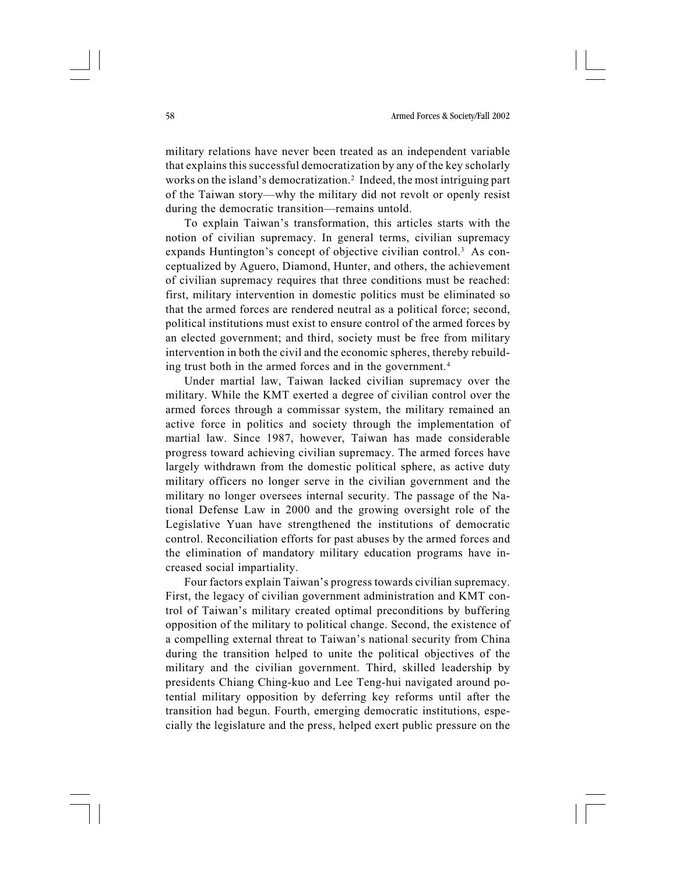military relations have never been treated as an independent variable that explains this successful democratization by any of the key scholarly works on the island's democratization.<sup>2</sup> Indeed, the most intriguing part of the Taiwan story—why the military did not revolt or openly resist during the democratic transition—remains untold.

To explain Taiwan's transformation, this articles starts with the notion of civilian supremacy. In general terms, civilian supremacy expands Huntington's concept of objective civilian control.3 As conceptualized by Aguero, Diamond, Hunter, and others, the achievement of civilian supremacy requires that three conditions must be reached: first, military intervention in domestic politics must be eliminated so that the armed forces are rendered neutral as a political force; second, political institutions must exist to ensure control of the armed forces by an elected government; and third, society must be free from military intervention in both the civil and the economic spheres, thereby rebuilding trust both in the armed forces and in the government.<sup>4</sup>

Under martial law, Taiwan lacked civilian supremacy over the military. While the KMT exerted a degree of civilian control over the armed forces through a commissar system, the military remained an active force in politics and society through the implementation of martial law. Since 1987, however, Taiwan has made considerable progress toward achieving civilian supremacy. The armed forces have largely withdrawn from the domestic political sphere, as active duty military officers no longer serve in the civilian government and the military no longer oversees internal security. The passage of the National Defense Law in 2000 and the growing oversight role of the Legislative Yuan have strengthened the institutions of democratic control. Reconciliation efforts for past abuses by the armed forces and the elimination of mandatory military education programs have increased social impartiality.

Four factors explain Taiwan's progress towards civilian supremacy. First, the legacy of civilian government administration and KMT control of Taiwan's military created optimal preconditions by buffering opposition of the military to political change. Second, the existence of a compelling external threat to Taiwan's national security from China during the transition helped to unite the political objectives of the military and the civilian government. Third, skilled leadership by presidents Chiang Ching-kuo and Lee Teng-hui navigated around potential military opposition by deferring key reforms until after the transition had begun. Fourth, emerging democratic institutions, especially the legislature and the press, helped exert public pressure on the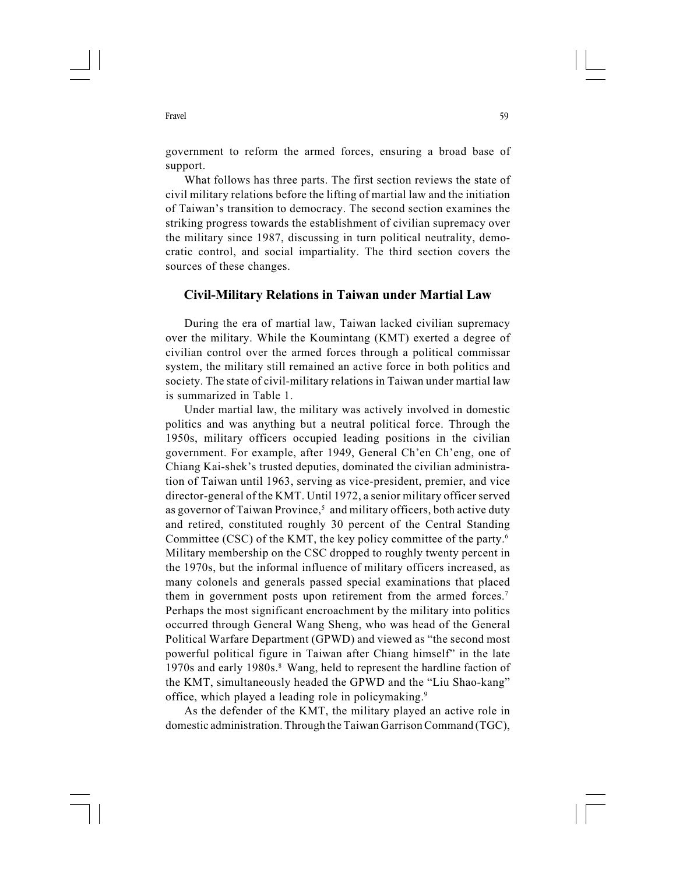government to reform the armed forces, ensuring a broad base of support.

What follows has three parts. The first section reviews the state of civil military relations before the lifting of martial law and the initiation of Taiwan's transition to democracy. The second section examines the striking progress towards the establishment of civilian supremacy over the military since 1987, discussing in turn political neutrality, democratic control, and social impartiality. The third section covers the sources of these changes.

# Civil-Military Relations in Taiwan under Martial Law

During the era of martial law, Taiwan lacked civilian supremacy over the military. While the Koumintang (KMT) exerted a degree of civilian control over the armed forces through a political commissar system, the military still remained an active force in both politics and society. The state of civil-military relations in Taiwan under martial law is summarized in Table 1.

Under martial law, the military was actively involved in domestic politics and was anything but a neutral political force. Through the 1950s, military officers occupied leading positions in the civilian government. For example, after 1949, General Ch'en Ch'eng, one of Chiang Kai-shek's trusted deputies, dominated the civilian administration of Taiwan until 1963, serving as vice-president, premier, and vice director-general of the KMT. Until 1972, a senior military officer served as governor of Taiwan Province,<sup>5</sup> and military officers, both active duty and retired, constituted roughly 30 percent of the Central Standing Committee (CSC) of the KMT, the key policy committee of the party.6 Military membership on the CSC dropped to roughly twenty percent in the 1970s, but the informal influence of military officers increased, as many colonels and generals passed special examinations that placed them in government posts upon retirement from the armed forces.<sup>7</sup> Perhaps the most significant encroachment by the military into politics occurred through General Wang Sheng, who was head of the General Political Warfare Department (GPWD) and viewed as "the second most powerful political figure in Taiwan after Chiang himself" in the late 1970s and early 1980s.8 Wang, held to represent the hardline faction of the KMT, simultaneously headed the GPWD and the "Liu Shao-kang" office, which played a leading role in policymaking.9

As the defender of the KMT, the military played an active role in domestic administration. Through the Taiwan Garrison Command (TGC),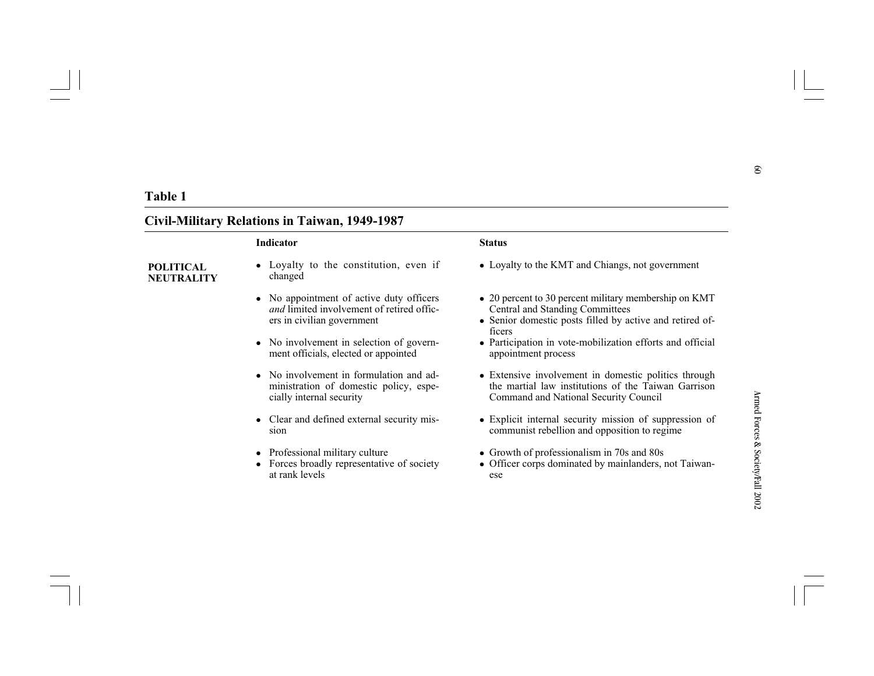- 
- 
- 
- 
- 
- 
- 

- 
- 
- 
- 
- Table 1<br> **Civil-Military Relations in Taiwan, 1949-1987**<br>
Indicator<br> **Civil-Military Relations in Taiwan, 1949-1987**<br> **States**<br> **Civil-Military Relations in Taiwan, 1949-1987**<br> **States**<br> **Civilian** Chinage, not government
	-
	-
	-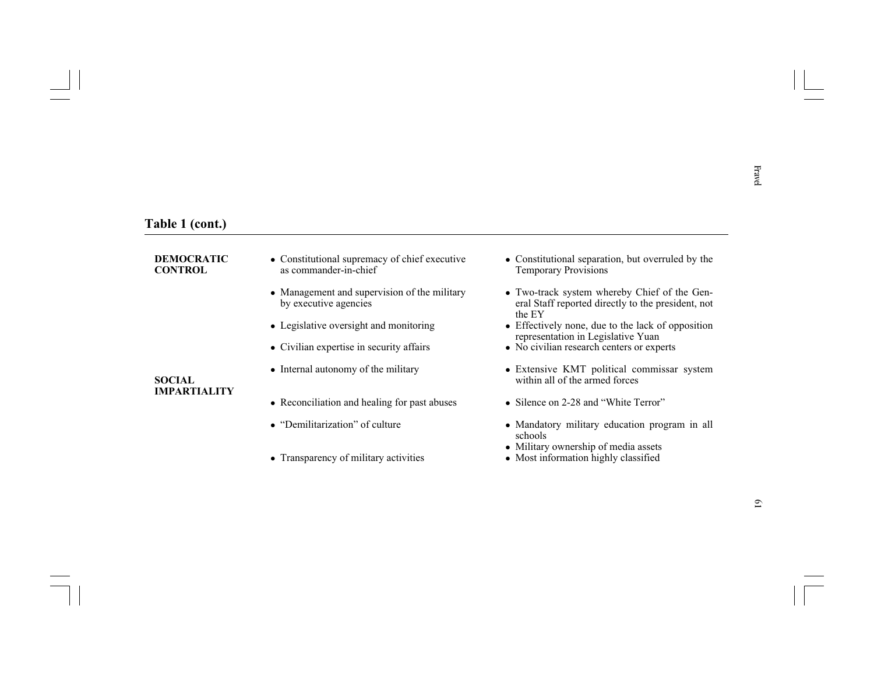- 
- 
- 
- 
- 

- 
- 
- 
- 
- **Table 1 (cont.)**<br> **CONTROL**<br> **CONTROL**<br> **CONTROL**<br> **CONTROL**<br> **CONTROL**<br> **CONTROL**<br> **CONTROL**<br> **CONTROL**<br> **CONTROL**<br> **CONTROL**<br> **CONTROL**<br> **CONTROL**<br> **CONTROL**<br> **CONTROL**<br> **CONTROL**<br> **CONTROL**<br> **CONTROL**<br> **CONTROL**<br> **CON** 
	-
	-
	-
	-
	-
	-
	-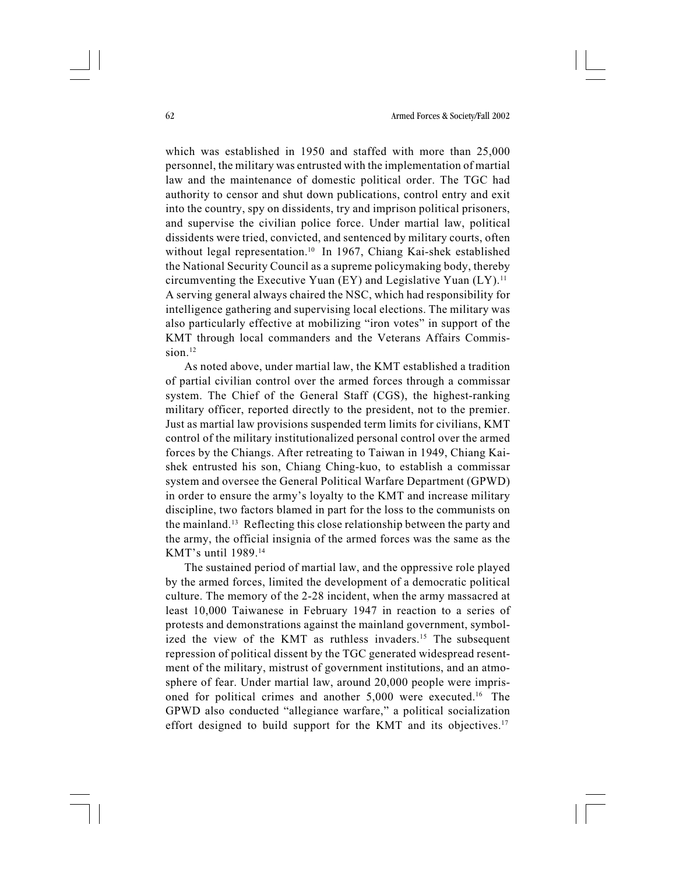which was established in 1950 and staffed with more than 25,000 personnel, the military was entrusted with the implementation of martial law and the maintenance of domestic political order. The TGC had authority to censor and shut down publications, control entry and exit into the country, spy on dissidents, try and imprison political prisoners, and supervise the civilian police force. Under martial law, political dissidents were tried, convicted, and sentenced by military courts, often without legal representation.<sup>10</sup> In 1967, Chiang Kai-shek established the National Security Council as a supreme policymaking body, thereby circumventing the Executive Yuan (EY) and Legislative Yuan  $(LY)$ .<sup>11</sup> A serving general always chaired the NSC, which had responsibility for intelligence gathering and supervising local elections. The military was also particularly effective at mobilizing "iron votes" in support of the KMT through local commanders and the Veterans Affairs Commission.12

As noted above, under martial law, the KMT established a tradition of partial civilian control over the armed forces through a commissar system. The Chief of the General Staff (CGS), the highest-ranking military officer, reported directly to the president, not to the premier. Just as martial law provisions suspended term limits for civilians, KMT control of the military institutionalized personal control over the armed forces by the Chiangs. After retreating to Taiwan in 1949, Chiang Kaishek entrusted his son, Chiang Ching-kuo, to establish a commissar system and oversee the General Political Warfare Department (GPWD) in order to ensure the army's loyalty to the KMT and increase military discipline, two factors blamed in part for the loss to the communists on the mainland.13 Reflecting this close relationship between the party and the army, the official insignia of the armed forces was the same as the KMT's until 1989.14

The sustained period of martial law, and the oppressive role played by the armed forces, limited the development of a democratic political culture. The memory of the 2-28 incident, when the army massacred at least 10,000 Taiwanese in February 1947 in reaction to a series of protests and demonstrations against the mainland government, symbolized the view of the KMT as ruthless invaders.<sup>15</sup> The subsequent repression of political dissent by the TGC generated widespread resentment of the military, mistrust of government institutions, and an atmosphere of fear. Under martial law, around 20,000 people were imprisoned for political crimes and another 5,000 were executed.16 The GPWD also conducted "allegiance warfare," a political socialization effort designed to build support for the KMT and its objectives.<sup>17</sup>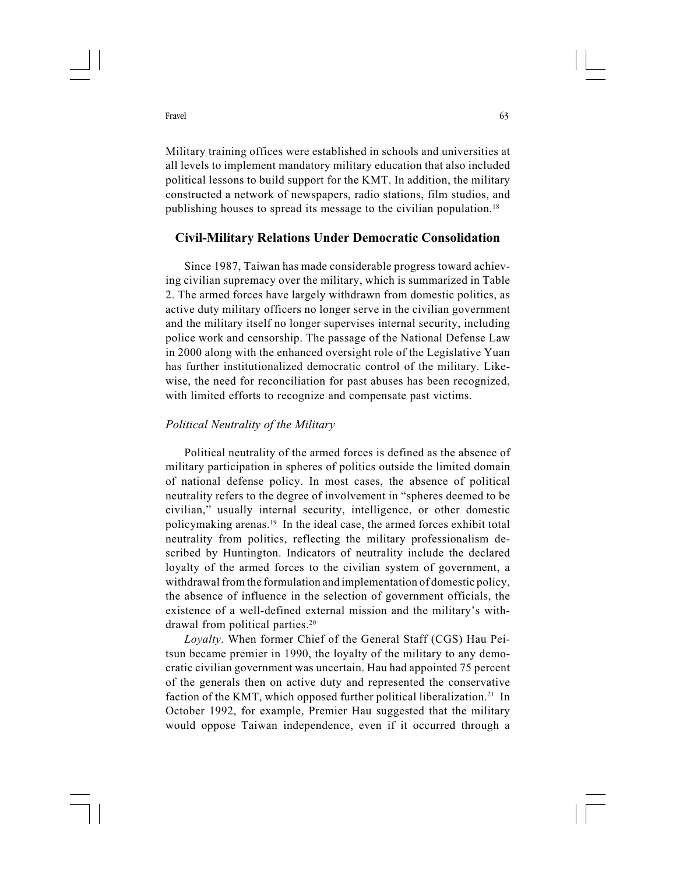Military training offices were established in schools and universities at all levels to implement mandatory military education that also included political lessons to build support for the KMT. In addition, the military constructed a network of newspapers, radio stations, film studios, and publishing houses to spread its message to the civilian population.18

# Civil-Military Relations Under Democratic Consolidation

Since 1987, Taiwan has made considerable progress toward achieving civilian supremacy over the military, which is summarized in Table 2. The armed forces have largely withdrawn from domestic politics, as active duty military officers no longer serve in the civilian government and the military itself no longer supervises internal security, including police work and censorship. The passage of the National Defense Law in 2000 along with the enhanced oversight role of the Legislative Yuan has further institutionalized democratic control of the military. Likewise, the need for reconciliation for past abuses has been recognized, with limited efforts to recognize and compensate past victims.

# Political Neutrality of the Military

Political neutrality of the armed forces is defined as the absence of military participation in spheres of politics outside the limited domain of national defense policy. In most cases, the absence of political neutrality refers to the degree of involvement in "spheres deemed to be civilian," usually internal security, intelligence, or other domestic policymaking arenas.19 In the ideal case, the armed forces exhibit total neutrality from politics, reflecting the military professionalism described by Huntington. Indicators of neutrality include the declared loyalty of the armed forces to the civilian system of government, a withdrawal from the formulation and implementation of domestic policy, the absence of influence in the selection of government officials, the existence of a well-defined external mission and the military's withdrawal from political parties.20

Loyalty. When former Chief of the General Staff (CGS) Hau Peitsun became premier in 1990, the loyalty of the military to any democratic civilian government was uncertain. Hau had appointed 75 percent of the generals then on active duty and represented the conservative faction of the KMT, which opposed further political liberalization.<sup>21</sup> In October 1992, for example, Premier Hau suggested that the military would oppose Taiwan independence, even if it occurred through a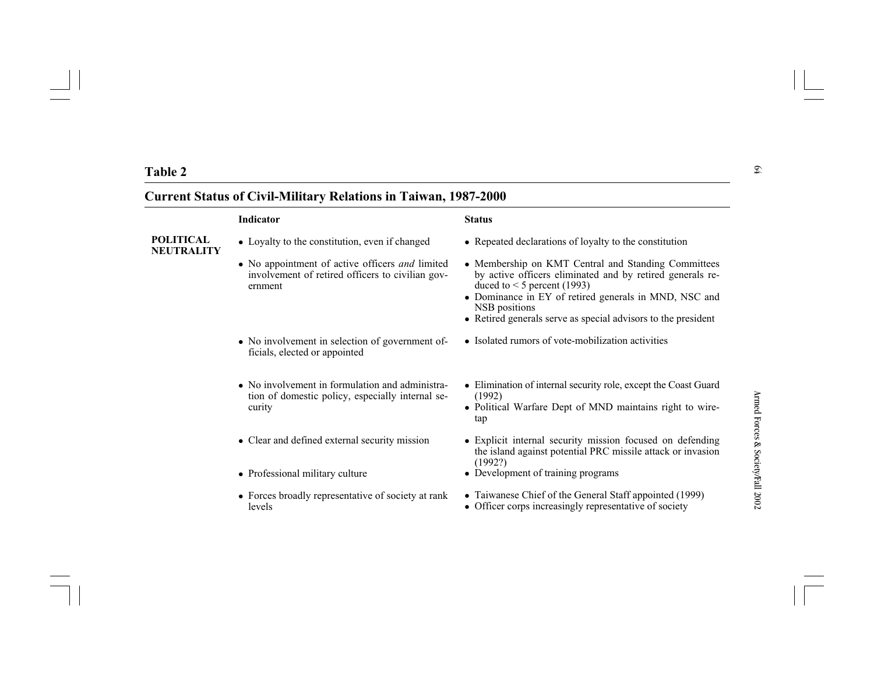- 
- 
- 
- 
- 
- 
- 

- 
- 
- 
- 
- 
- 
- 
- Table 2<br>
Current Status of Civil-Military Relations in Taiwan, 1987-2000<br>
Indicator<br>
POLITICAL<br>
 Loyaly to the constitution, even if changed<br>
 Repeated declarations of loyaly to the constitution<br>
 No appointment of eit Status<br>
Status<br>
My to the constitution, even if changed<br>
propointment of active officers and limited<br>
versuced declarations of loyalty to the constitution<br>
versuced and by retired and Standing Committees<br>
term<br>
tent<br>
ent<br>
	-
	-
	- Officer corps increasingly representative of society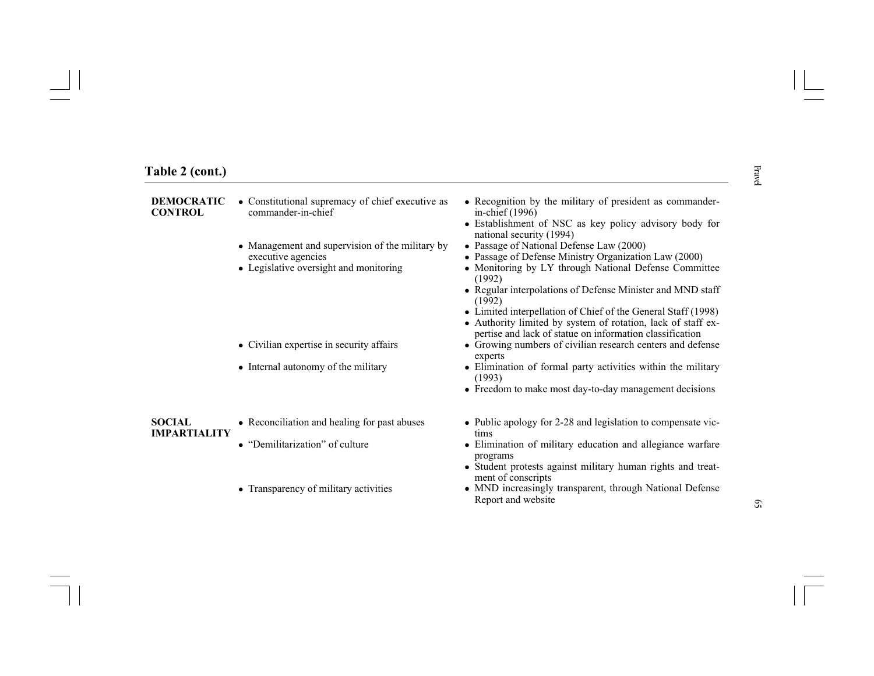- 
- 
- 

- 
- 
- 
- 
- 
- 
- 
- 
- 
- 
- 
- 
- 

# **Table 2 (cont.)**<br> **DEMOCRATIC** • Constitutional supremacy of chief executive as • Recognition by the military of president as commander-<br> **CONTROL**<br>
CONTROL<br>
• Management and supervision of the military by • Passage of D

- 
- 
- 
- 
- 
-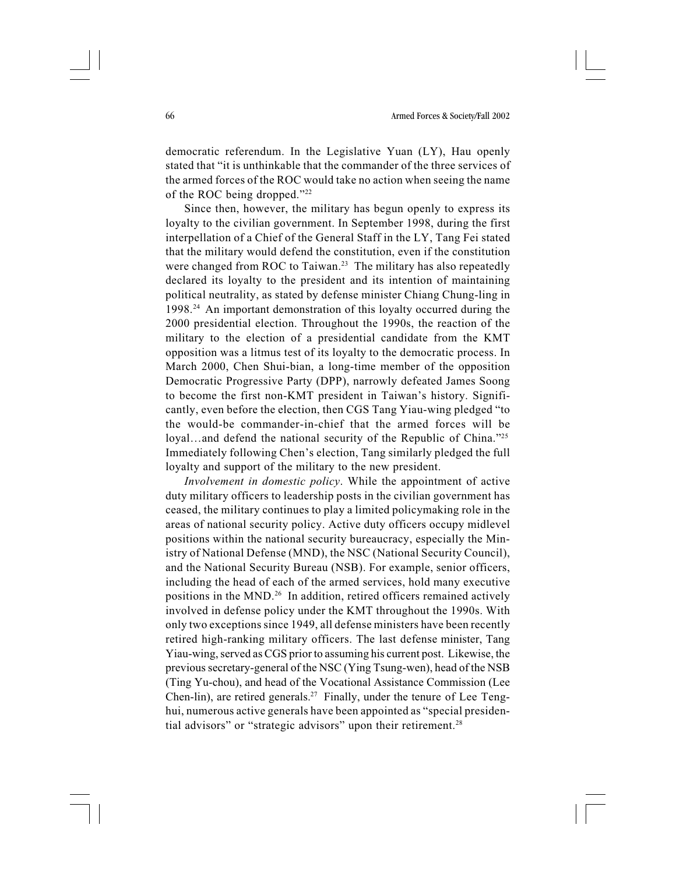democratic referendum. In the Legislative Yuan (LY), Hau openly stated that "it is unthinkable that the commander of the three services of the armed forces of the ROC would take no action when seeing the name of the ROC being dropped."22

Since then, however, the military has begun openly to express its loyalty to the civilian government. In September 1998, during the first interpellation of a Chief of the General Staff in the LY, Tang Fei stated that the military would defend the constitution, even if the constitution were changed from ROC to Taiwan.<sup>23</sup> The military has also repeatedly declared its loyalty to the president and its intention of maintaining political neutrality, as stated by defense minister Chiang Chung-ling in 1998.24 An important demonstration of this loyalty occurred during the 2000 presidential election. Throughout the 1990s, the reaction of the military to the election of a presidential candidate from the KMT opposition was a litmus test of its loyalty to the democratic process. In March 2000, Chen Shui-bian, a long-time member of the opposition Democratic Progressive Party (DPP), narrowly defeated James Soong to become the first non-KMT president in Taiwan's history. Significantly, even before the election, then CGS Tang Yiau-wing pledged "to the would-be commander-in-chief that the armed forces will be loyal…and defend the national security of the Republic of China."<sup>25</sup> Immediately following Chen's election, Tang similarly pledged the full loyalty and support of the military to the new president.

Involvement in domestic policy. While the appointment of active duty military officers to leadership posts in the civilian government has ceased, the military continues to play a limited policymaking role in the areas of national security policy. Active duty officers occupy midlevel positions within the national security bureaucracy, especially the Ministry of National Defense (MND), the NSC (National Security Council), and the National Security Bureau (NSB). For example, senior officers, including the head of each of the armed services, hold many executive positions in the MND.26 In addition, retired officers remained actively involved in defense policy under the KMT throughout the 1990s. With only two exceptions since 1949, all defense ministers have been recently retired high-ranking military officers. The last defense minister, Tang Yiau-wing, served as CGS prior to assuming his current post. Likewise, the previous secretary-general of the NSC (Ying Tsung-wen), head of the NSB (Ting Yu-chou), and head of the Vocational Assistance Commission (Lee Chen-lin), are retired generals.27 Finally, under the tenure of Lee Tenghui, numerous active generals have been appointed as "special presidential advisors" or "strategic advisors" upon their retirement.<sup>28</sup>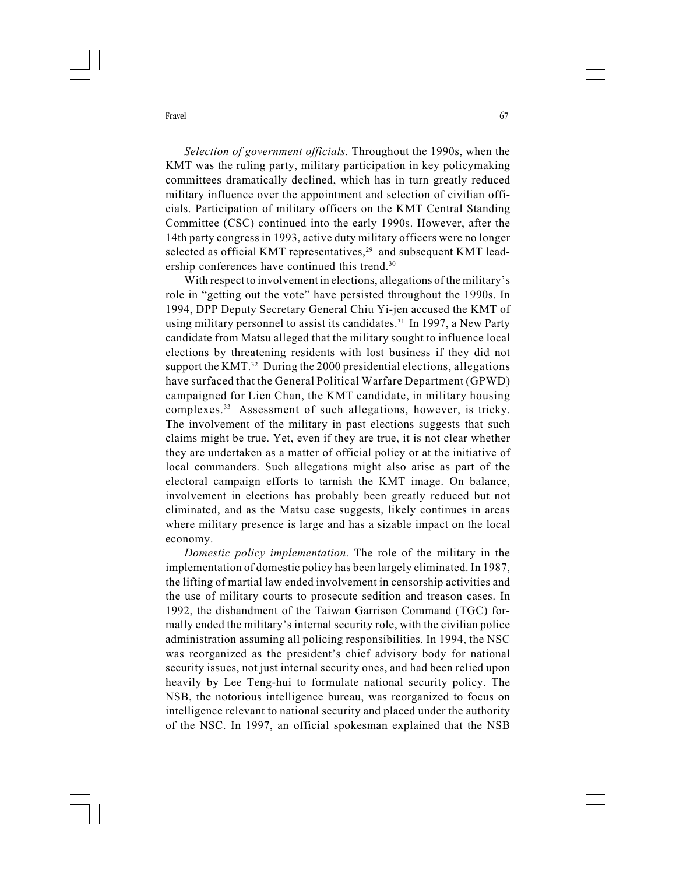Selection of government officials. Throughout the 1990s, when the KMT was the ruling party, military participation in key policymaking committees dramatically declined, which has in turn greatly reduced military influence over the appointment and selection of civilian officials. Participation of military officers on the KMT Central Standing Committee (CSC) continued into the early 1990s. However, after the 14th party congress in 1993, active duty military officers were no longer selected as official KMT representatives,<sup>29</sup> and subsequent KMT leadership conferences have continued this trend.<sup>30</sup>

With respect to involvement in elections, allegations of the military's role in "getting out the vote" have persisted throughout the 1990s. In 1994, DPP Deputy Secretary General Chiu Yi-jen accused the KMT of using military personnel to assist its candidates.<sup>31</sup> In 1997, a New Party candidate from Matsu alleged that the military sought to influence local elections by threatening residents with lost business if they did not support the KMT.<sup>32</sup> During the 2000 presidential elections, allegations have surfaced that the General Political Warfare Department (GPWD) campaigned for Lien Chan, the KMT candidate, in military housing complexes.33 Assessment of such allegations, however, is tricky. The involvement of the military in past elections suggests that such claims might be true. Yet, even if they are true, it is not clear whether they are undertaken as a matter of official policy or at the initiative of local commanders. Such allegations might also arise as part of the electoral campaign efforts to tarnish the KMT image. On balance, involvement in elections has probably been greatly reduced but not eliminated, and as the Matsu case suggests, likely continues in areas where military presence is large and has a sizable impact on the local economy.

Domestic policy implementation. The role of the military in the implementation of domestic policy has been largely eliminated. In 1987, the lifting of martial law ended involvement in censorship activities and the use of military courts to prosecute sedition and treason cases. In 1992, the disbandment of the Taiwan Garrison Command (TGC) formally ended the military's internal security role, with the civilian police administration assuming all policing responsibilities. In 1994, the NSC was reorganized as the president's chief advisory body for national security issues, not just internal security ones, and had been relied upon heavily by Lee Teng-hui to formulate national security policy. The NSB, the notorious intelligence bureau, was reorganized to focus on intelligence relevant to national security and placed under the authority of the NSC. In 1997, an official spokesman explained that the NSB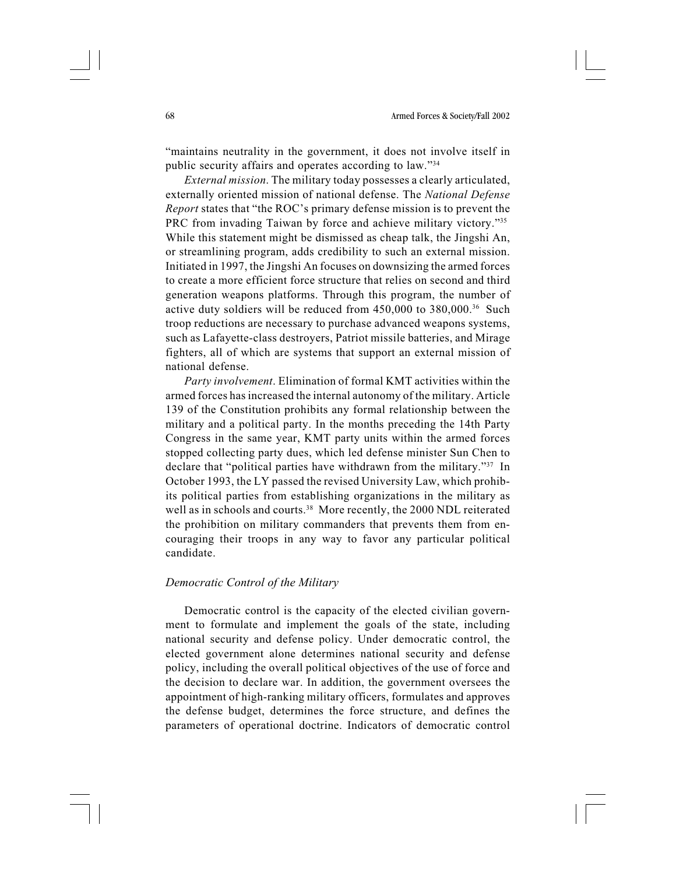"maintains neutrality in the government, it does not involve itself in public security affairs and operates according to law."34

External mission. The military today possesses a clearly articulated, externally oriented mission of national defense. The National Defense Report states that "the ROC's primary defense mission is to prevent the PRC from invading Taiwan by force and achieve military victory."35 While this statement might be dismissed as cheap talk, the Jingshi An, or streamlining program, adds credibility to such an external mission. Initiated in 1997, the Jingshi An focuses on downsizing the armed forces to create a more efficient force structure that relies on second and third generation weapons platforms. Through this program, the number of active duty soldiers will be reduced from 450,000 to 380,000.36 Such troop reductions are necessary to purchase advanced weapons systems, such as Lafayette-class destroyers, Patriot missile batteries, and Mirage fighters, all of which are systems that support an external mission of national defense.

Party involvement. Elimination of formal KMT activities within the armed forces has increased the internal autonomy of the military. Article 139 of the Constitution prohibits any formal relationship between the military and a political party. In the months preceding the 14th Party Congress in the same year, KMT party units within the armed forces stopped collecting party dues, which led defense minister Sun Chen to declare that "political parties have withdrawn from the military."37 In October 1993, the LY passed the revised University Law, which prohibits political parties from establishing organizations in the military as well as in schools and courts.<sup>38</sup> More recently, the 2000 NDL reiterated the prohibition on military commanders that prevents them from encouraging their troops in any way to favor any particular political candidate.

## Democratic Control of the Military

Democratic control is the capacity of the elected civilian government to formulate and implement the goals of the state, including national security and defense policy. Under democratic control, the elected government alone determines national security and defense policy, including the overall political objectives of the use of force and the decision to declare war. In addition, the government oversees the appointment of high-ranking military officers, formulates and approves the defense budget, determines the force structure, and defines the parameters of operational doctrine. Indicators of democratic control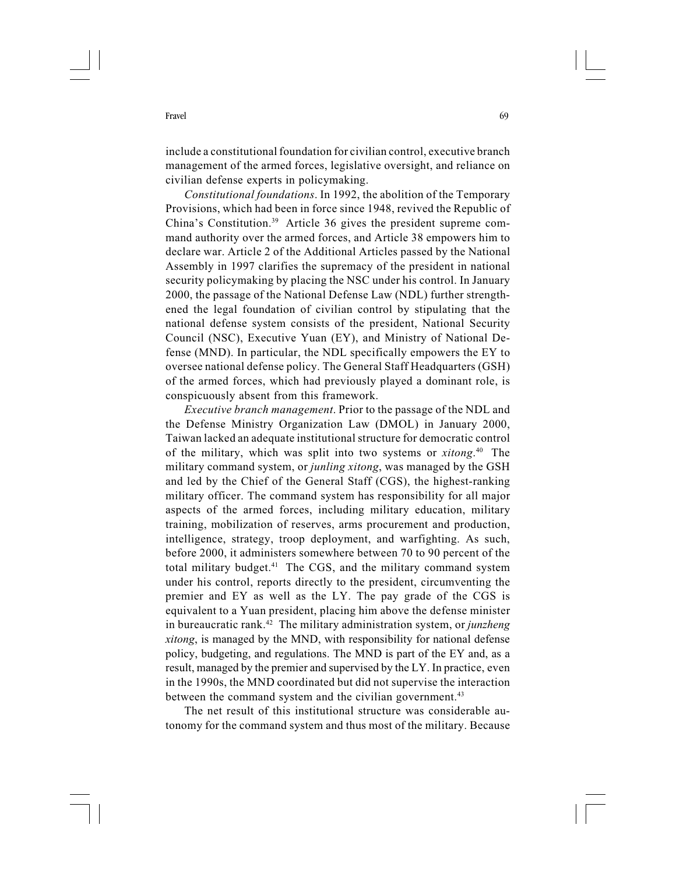include a constitutional foundation for civilian control, executive branch management of the armed forces, legislative oversight, and reliance on civilian defense experts in policymaking.

Constitutional foundations. In 1992, the abolition of the Temporary Provisions, which had been in force since 1948, revived the Republic of China's Constitution.39 Article 36 gives the president supreme command authority over the armed forces, and Article 38 empowers him to declare war. Article 2 of the Additional Articles passed by the National Assembly in 1997 clarifies the supremacy of the president in national security policymaking by placing the NSC under his control. In January 2000, the passage of the National Defense Law (NDL) further strengthened the legal foundation of civilian control by stipulating that the national defense system consists of the president, National Security Council (NSC), Executive Yuan (EY), and Ministry of National Defense (MND). In particular, the NDL specifically empowers the EY to oversee national defense policy. The General Staff Headquarters (GSH) of the armed forces, which had previously played a dominant role, is conspicuously absent from this framework.

Executive branch management. Prior to the passage of the NDL and the Defense Ministry Organization Law (DMOL) in January 2000, Taiwan lacked an adequate institutional structure for democratic control of the military, which was split into two systems or *xitong*.<sup>40</sup> The military command system, or junling xitong, was managed by the GSH and led by the Chief of the General Staff (CGS), the highest-ranking military officer. The command system has responsibility for all major aspects of the armed forces, including military education, military training, mobilization of reserves, arms procurement and production, intelligence, strategy, troop deployment, and warfighting. As such, before 2000, it administers somewhere between 70 to 90 percent of the total military budget.41 The CGS, and the military command system under his control, reports directly to the president, circumventing the premier and EY as well as the LY. The pay grade of the CGS is equivalent to a Yuan president, placing him above the defense minister in bureaucratic rank.<sup>42</sup> The military administration system, or *junzheng* xitong, is managed by the MND, with responsibility for national defense policy, budgeting, and regulations. The MND is part of the EY and, as a result, managed by the premier and supervised by the LY. In practice, even in the 1990s, the MND coordinated but did not supervise the interaction between the command system and the civilian government.<sup>43</sup>

The net result of this institutional structure was considerable autonomy for the command system and thus most of the military. Because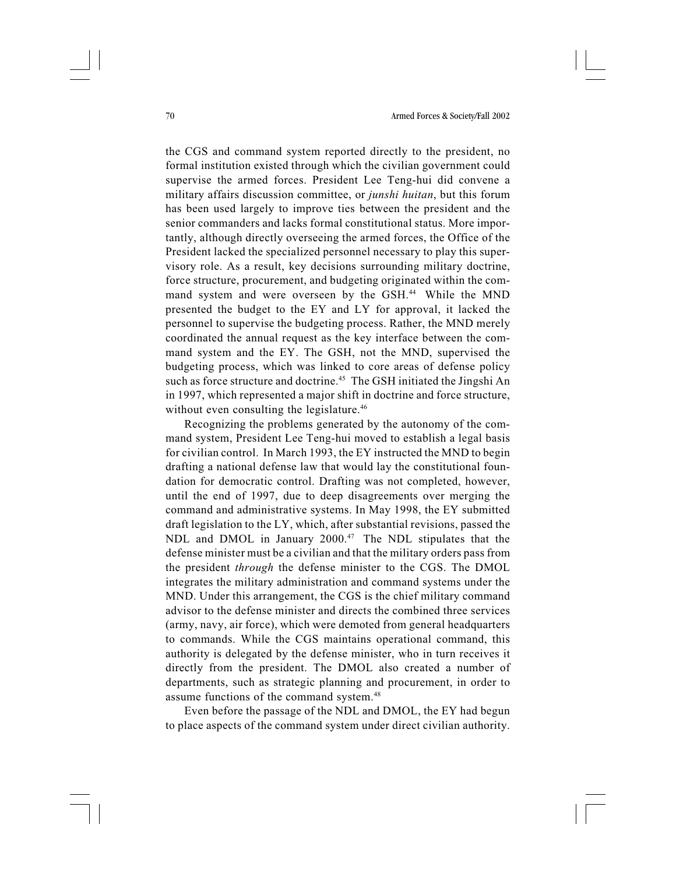the CGS and command system reported directly to the president, no formal institution existed through which the civilian government could supervise the armed forces. President Lee Teng-hui did convene a military affairs discussion committee, or junshi huitan, but this forum has been used largely to improve ties between the president and the senior commanders and lacks formal constitutional status. More importantly, although directly overseeing the armed forces, the Office of the President lacked the specialized personnel necessary to play this supervisory role. As a result, key decisions surrounding military doctrine, force structure, procurement, and budgeting originated within the command system and were overseen by the GSH.44 While the MND presented the budget to the EY and LY for approval, it lacked the personnel to supervise the budgeting process. Rather, the MND merely coordinated the annual request as the key interface between the command system and the EY. The GSH, not the MND, supervised the budgeting process, which was linked to core areas of defense policy such as force structure and doctrine.<sup>45</sup> The GSH initiated the Jingshi An in 1997, which represented a major shift in doctrine and force structure, without even consulting the legislature.<sup>46</sup>

Recognizing the problems generated by the autonomy of the command system, President Lee Teng-hui moved to establish a legal basis for civilian control. In March 1993, the EY instructed the MND to begin drafting a national defense law that would lay the constitutional foundation for democratic control. Drafting was not completed, however, until the end of 1997, due to deep disagreements over merging the command and administrative systems. In May 1998, the EY submitted draft legislation to the LY, which, after substantial revisions, passed the NDL and DMOL in January 2000.<sup>47</sup> The NDL stipulates that the defense minister must be a civilian and that the military orders pass from the president through the defense minister to the CGS. The DMOL integrates the military administration and command systems under the MND. Under this arrangement, the CGS is the chief military command advisor to the defense minister and directs the combined three services (army, navy, air force), which were demoted from general headquarters to commands. While the CGS maintains operational command, this authority is delegated by the defense minister, who in turn receives it directly from the president. The DMOL also created a number of departments, such as strategic planning and procurement, in order to assume functions of the command system.48

Even before the passage of the NDL and DMOL, the EY had begun to place aspects of the command system under direct civilian authority.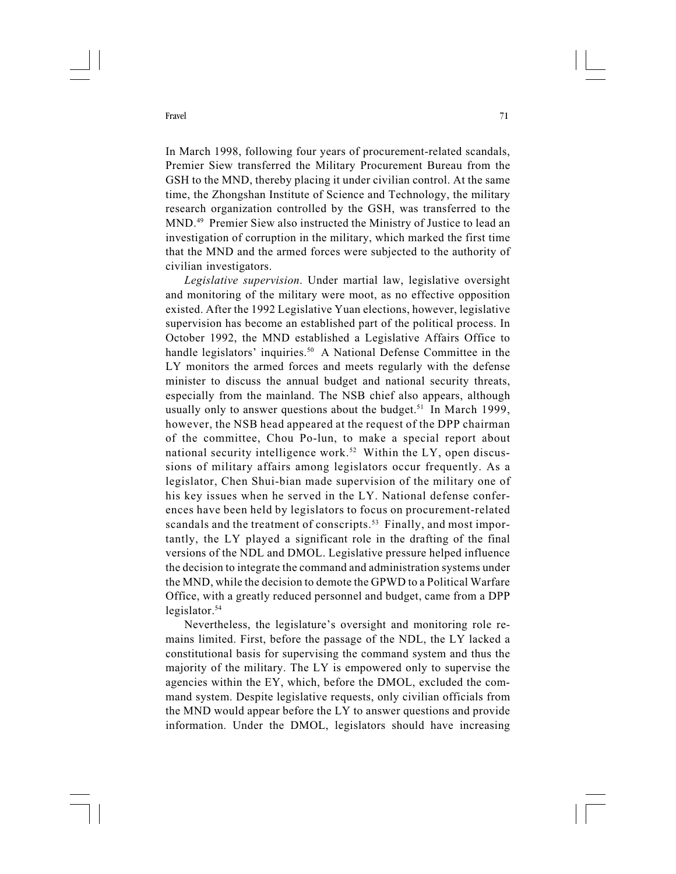In March 1998, following four years of procurement-related scandals, Premier Siew transferred the Military Procurement Bureau from the GSH to the MND, thereby placing it under civilian control. At the same time, the Zhongshan Institute of Science and Technology, the military research organization controlled by the GSH, was transferred to the MND.49 Premier Siew also instructed the Ministry of Justice to lead an investigation of corruption in the military, which marked the first time that the MND and the armed forces were subjected to the authority of civilian investigators.

Legislative supervision. Under martial law, legislative oversight and monitoring of the military were moot, as no effective opposition existed. After the 1992 Legislative Yuan elections, however, legislative supervision has become an established part of the political process. In October 1992, the MND established a Legislative Affairs Office to handle legislators' inquiries.<sup>50</sup> A National Defense Committee in the LY monitors the armed forces and meets regularly with the defense minister to discuss the annual budget and national security threats, especially from the mainland. The NSB chief also appears, although usually only to answer questions about the budget.<sup>51</sup> In March 1999, however, the NSB head appeared at the request of the DPP chairman of the committee, Chou Po-lun, to make a special report about national security intelligence work.<sup>52</sup> Within the LY, open discussions of military affairs among legislators occur frequently. As a legislator, Chen Shui-bian made supervision of the military one of his key issues when he served in the LY. National defense conferences have been held by legislators to focus on procurement-related scandals and the treatment of conscripts.<sup>53</sup> Finally, and most importantly, the LY played a significant role in the drafting of the final versions of the NDL and DMOL. Legislative pressure helped influence the decision to integrate the command and administration systems under the MND, while the decision to demote the GPWD to a Political Warfare Office, with a greatly reduced personnel and budget, came from a DPP legislator.<sup>54</sup>

Nevertheless, the legislature's oversight and monitoring role remains limited. First, before the passage of the NDL, the LY lacked a constitutional basis for supervising the command system and thus the majority of the military. The LY is empowered only to supervise the agencies within the EY, which, before the DMOL, excluded the command system. Despite legislative requests, only civilian officials from the MND would appear before the LY to answer questions and provide information. Under the DMOL, legislators should have increasing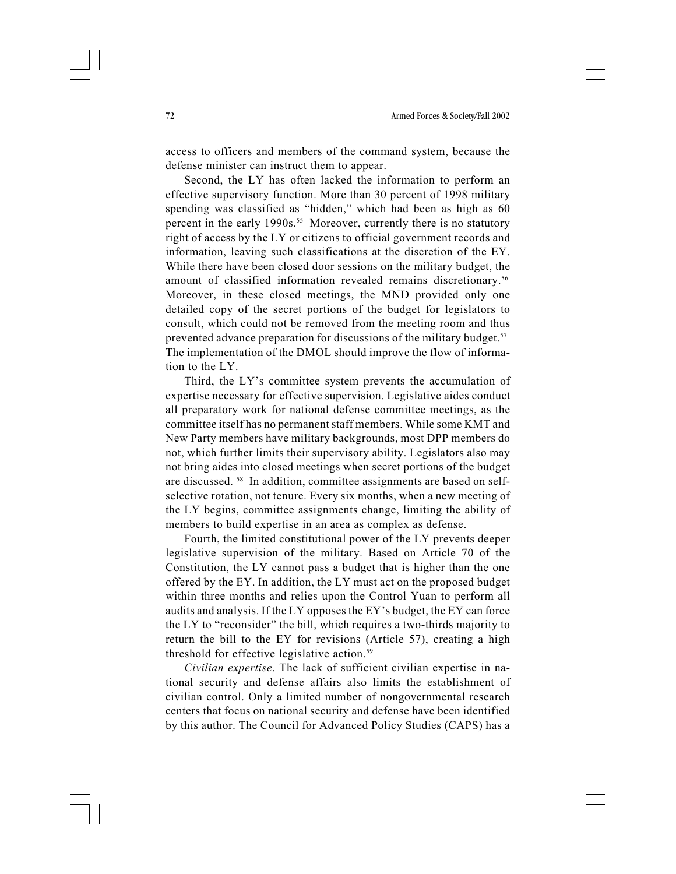access to officers and members of the command system, because the defense minister can instruct them to appear.

Second, the LY has often lacked the information to perform an effective supervisory function. More than 30 percent of 1998 military spending was classified as "hidden," which had been as high as 60 percent in the early 1990s.<sup>55</sup> Moreover, currently there is no statutory right of access by the LY or citizens to official government records and information, leaving such classifications at the discretion of the EY. While there have been closed door sessions on the military budget, the amount of classified information revealed remains discretionary.56 Moreover, in these closed meetings, the MND provided only one detailed copy of the secret portions of the budget for legislators to consult, which could not be removed from the meeting room and thus prevented advance preparation for discussions of the military budget.<sup>57</sup> The implementation of the DMOL should improve the flow of information to the LY.

Third, the LY's committee system prevents the accumulation of expertise necessary for effective supervision. Legislative aides conduct all preparatory work for national defense committee meetings, as the committee itself has no permanent staff members. While some KMT and New Party members have military backgrounds, most DPP members do not, which further limits their supervisory ability. Legislators also may not bring aides into closed meetings when secret portions of the budget are discussed. 58 In addition, committee assignments are based on selfselective rotation, not tenure. Every six months, when a new meeting of the LY begins, committee assignments change, limiting the ability of members to build expertise in an area as complex as defense.

Fourth, the limited constitutional power of the LY prevents deeper legislative supervision of the military. Based on Article 70 of the Constitution, the LY cannot pass a budget that is higher than the one offered by the EY. In addition, the LY must act on the proposed budget within three months and relies upon the Control Yuan to perform all audits and analysis. If the LY opposes the EY's budget, the EY can force the LY to "reconsider" the bill, which requires a two-thirds majority to return the bill to the EY for revisions (Article 57), creating a high threshold for effective legislative action.<sup>59</sup>

Civilian expertise. The lack of sufficient civilian expertise in national security and defense affairs also limits the establishment of civilian control. Only a limited number of nongovernmental research centers that focus on national security and defense have been identified by this author. The Council for Advanced Policy Studies (CAPS) has a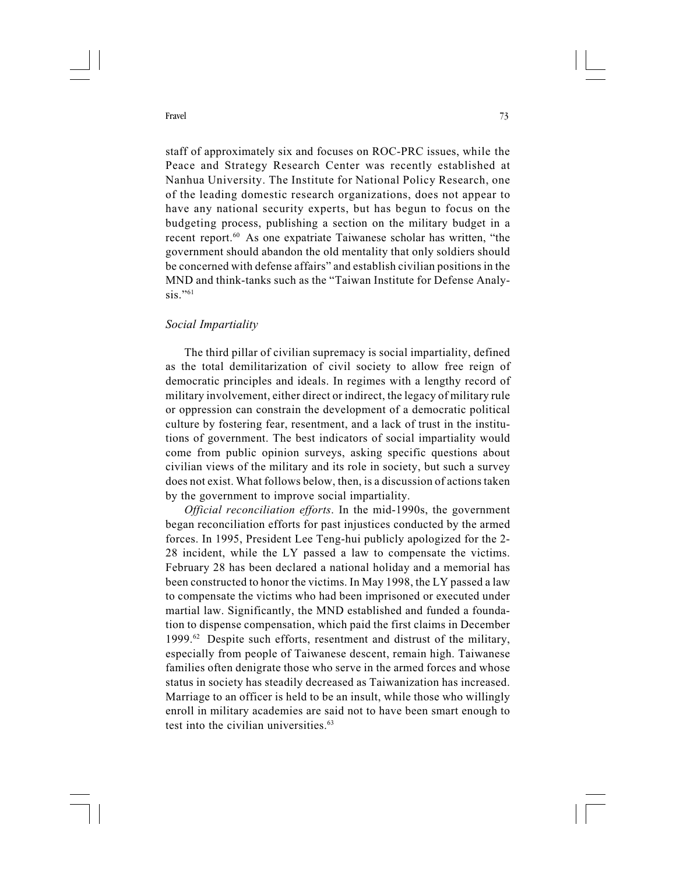staff of approximately six and focuses on ROC-PRC issues, while the Peace and Strategy Research Center was recently established at Nanhua University. The Institute for National Policy Research, one of the leading domestic research organizations, does not appear to have any national security experts, but has begun to focus on the budgeting process, publishing a section on the military budget in a recent report.60 As one expatriate Taiwanese scholar has written, "the government should abandon the old mentality that only soldiers should be concerned with defense affairs" and establish civilian positions in the MND and think-tanks such as the "Taiwan Institute for Defense Analy- $\sin$ "61

# Social Impartiality

The third pillar of civilian supremacy is social impartiality, defined as the total demilitarization of civil society to allow free reign of democratic principles and ideals. In regimes with a lengthy record of military involvement, either direct or indirect, the legacy of military rule or oppression can constrain the development of a democratic political culture by fostering fear, resentment, and a lack of trust in the institutions of government. The best indicators of social impartiality would come from public opinion surveys, asking specific questions about civilian views of the military and its role in society, but such a survey does not exist. What follows below, then, is a discussion of actions taken by the government to improve social impartiality.

Official reconciliation efforts. In the mid-1990s, the government began reconciliation efforts for past injustices conducted by the armed forces. In 1995, President Lee Teng-hui publicly apologized for the 2- 28 incident, while the LY passed a law to compensate the victims. February 28 has been declared a national holiday and a memorial has been constructed to honor the victims. In May 1998, the LY passed a law to compensate the victims who had been imprisoned or executed under martial law. Significantly, the MND established and funded a foundation to dispense compensation, which paid the first claims in December 1999.62 Despite such efforts, resentment and distrust of the military, especially from people of Taiwanese descent, remain high. Taiwanese families often denigrate those who serve in the armed forces and whose status in society has steadily decreased as Taiwanization has increased. Marriage to an officer is held to be an insult, while those who willingly enroll in military academies are said not to have been smart enough to test into the civilian universities.<sup>63</sup>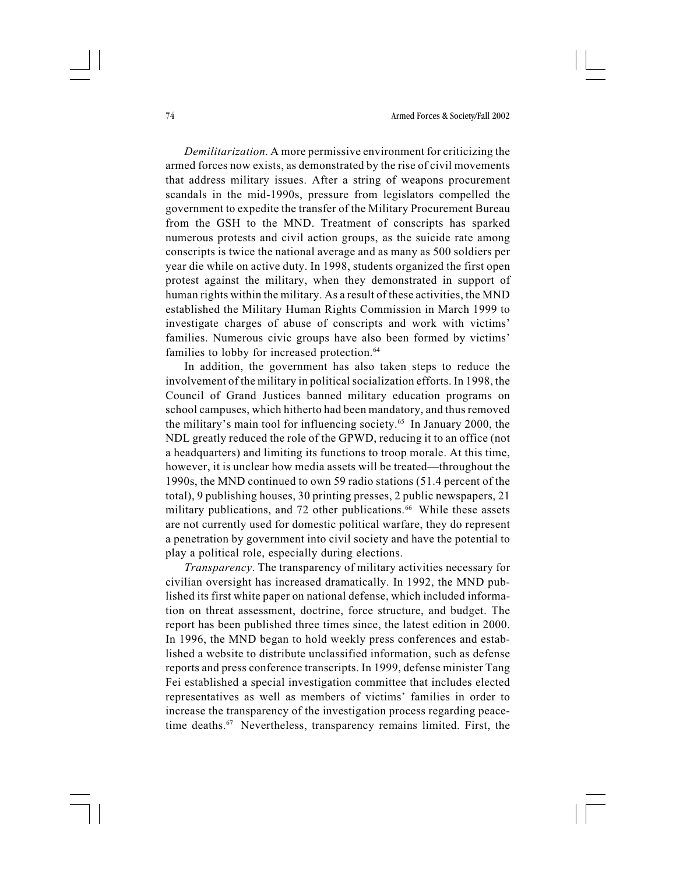Demilitarization. A more permissive environment for criticizing the armed forces now exists, as demonstrated by the rise of civil movements that address military issues. After a string of weapons procurement scandals in the mid-1990s, pressure from legislators compelled the government to expedite the transfer of the Military Procurement Bureau from the GSH to the MND. Treatment of conscripts has sparked numerous protests and civil action groups, as the suicide rate among conscripts is twice the national average and as many as 500 soldiers per year die while on active duty. In 1998, students organized the first open protest against the military, when they demonstrated in support of human rights within the military. As a result of these activities, the MND established the Military Human Rights Commission in March 1999 to investigate charges of abuse of conscripts and work with victims' families. Numerous civic groups have also been formed by victims' families to lobby for increased protection.<sup>64</sup>

In addition, the government has also taken steps to reduce the involvement of the military in political socialization efforts. In 1998, the Council of Grand Justices banned military education programs on school campuses, which hitherto had been mandatory, and thus removed the military's main tool for influencing society.65 In January 2000, the NDL greatly reduced the role of the GPWD, reducing it to an office (not a headquarters) and limiting its functions to troop morale. At this time, however, it is unclear how media assets will be treated—throughout the 1990s, the MND continued to own 59 radio stations (51.4 percent of the total), 9 publishing houses, 30 printing presses, 2 public newspapers, 21 military publications, and 72 other publications.<sup>66</sup> While these assets are not currently used for domestic political warfare, they do represent a penetration by government into civil society and have the potential to play a political role, especially during elections.

Transparency. The transparency of military activities necessary for civilian oversight has increased dramatically. In 1992, the MND published its first white paper on national defense, which included information on threat assessment, doctrine, force structure, and budget. The report has been published three times since, the latest edition in 2000. In 1996, the MND began to hold weekly press conferences and established a website to distribute unclassified information, such as defense reports and press conference transcripts. In 1999, defense minister Tang Fei established a special investigation committee that includes elected representatives as well as members of victims' families in order to increase the transparency of the investigation process regarding peacetime deaths.<sup>67</sup> Nevertheless, transparency remains limited. First, the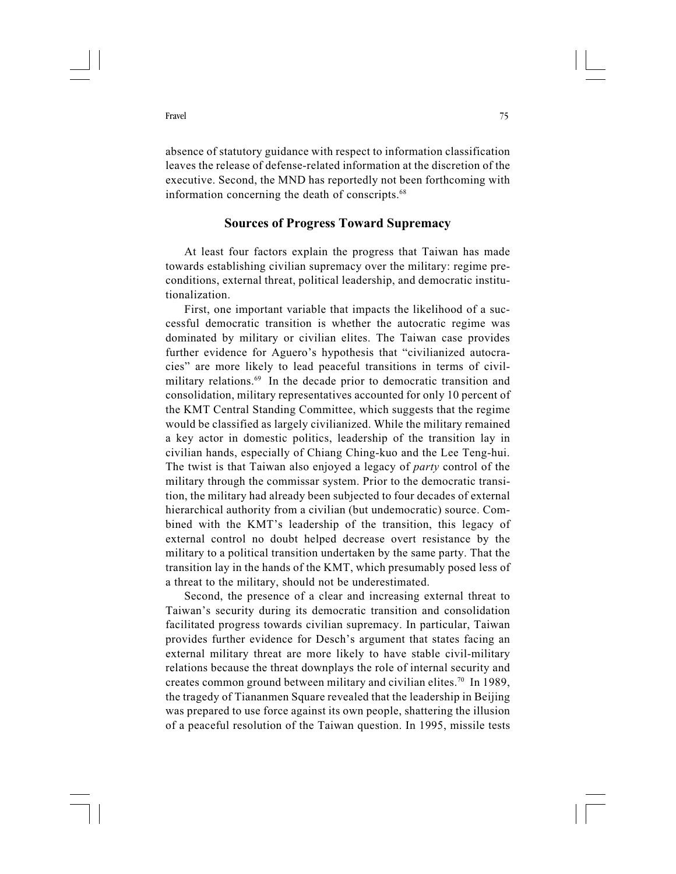absence of statutory guidance with respect to information classification leaves the release of defense-related information at the discretion of the executive. Second, the MND has reportedly not been forthcoming with information concerning the death of conscripts.<sup>68</sup>

# Sources of Progress Toward Supremacy

At least four factors explain the progress that Taiwan has made towards establishing civilian supremacy over the military: regime preconditions, external threat, political leadership, and democratic institutionalization.

First, one important variable that impacts the likelihood of a successful democratic transition is whether the autocratic regime was dominated by military or civilian elites. The Taiwan case provides further evidence for Aguero's hypothesis that "civilianized autocracies" are more likely to lead peaceful transitions in terms of civilmilitary relations.<sup>69</sup> In the decade prior to democratic transition and consolidation, military representatives accounted for only 10 percent of the KMT Central Standing Committee, which suggests that the regime would be classified as largely civilianized. While the military remained a key actor in domestic politics, leadership of the transition lay in civilian hands, especially of Chiang Ching-kuo and the Lee Teng-hui. The twist is that Taiwan also enjoyed a legacy of party control of the military through the commissar system. Prior to the democratic transition, the military had already been subjected to four decades of external hierarchical authority from a civilian (but undemocratic) source. Combined with the KMT's leadership of the transition, this legacy of external control no doubt helped decrease overt resistance by the military to a political transition undertaken by the same party. That the transition lay in the hands of the KMT, which presumably posed less of a threat to the military, should not be underestimated.

Second, the presence of a clear and increasing external threat to Taiwan's security during its democratic transition and consolidation facilitated progress towards civilian supremacy. In particular, Taiwan provides further evidence for Desch's argument that states facing an external military threat are more likely to have stable civil-military relations because the threat downplays the role of internal security and creates common ground between military and civilian elites.70 In 1989, the tragedy of Tiananmen Square revealed that the leadership in Beijing was prepared to use force against its own people, shattering the illusion of a peaceful resolution of the Taiwan question. In 1995, missile tests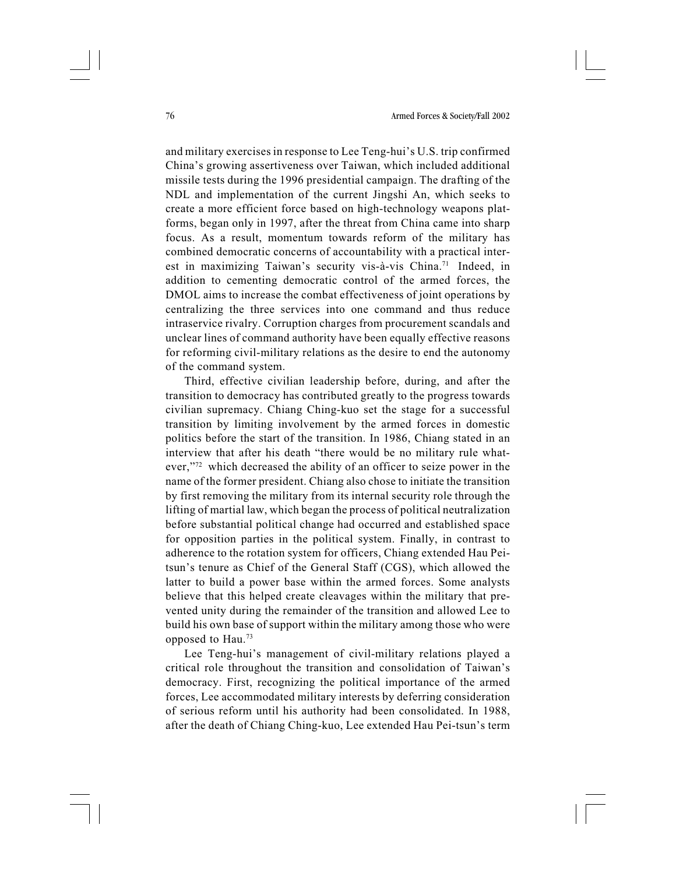and military exercises in response to Lee Teng-hui's U.S. trip confirmed China's growing assertiveness over Taiwan, which included additional missile tests during the 1996 presidential campaign. The drafting of the NDL and implementation of the current Jingshi An, which seeks to create a more efficient force based on high-technology weapons platforms, began only in 1997, after the threat from China came into sharp focus. As a result, momentum towards reform of the military has combined democratic concerns of accountability with a practical interest in maximizing Taiwan's security vis-à-vis China.71 Indeed, in addition to cementing democratic control of the armed forces, the DMOL aims to increase the combat effectiveness of joint operations by centralizing the three services into one command and thus reduce intraservice rivalry. Corruption charges from procurement scandals and unclear lines of command authority have been equally effective reasons for reforming civil-military relations as the desire to end the autonomy of the command system.

Third, effective civilian leadership before, during, and after the transition to democracy has contributed greatly to the progress towards civilian supremacy. Chiang Ching-kuo set the stage for a successful transition by limiting involvement by the armed forces in domestic politics before the start of the transition. In 1986, Chiang stated in an interview that after his death "there would be no military rule whatever,"72 which decreased the ability of an officer to seize power in the name of the former president. Chiang also chose to initiate the transition by first removing the military from its internal security role through the lifting of martial law, which began the process of political neutralization before substantial political change had occurred and established space for opposition parties in the political system. Finally, in contrast to adherence to the rotation system for officers, Chiang extended Hau Peitsun's tenure as Chief of the General Staff (CGS), which allowed the latter to build a power base within the armed forces. Some analysts believe that this helped create cleavages within the military that prevented unity during the remainder of the transition and allowed Lee to build his own base of support within the military among those who were opposed to Hau.73

Lee Teng-hui's management of civil-military relations played a critical role throughout the transition and consolidation of Taiwan's democracy. First, recognizing the political importance of the armed forces, Lee accommodated military interests by deferring consideration of serious reform until his authority had been consolidated. In 1988, after the death of Chiang Ching-kuo, Lee extended Hau Pei-tsun's term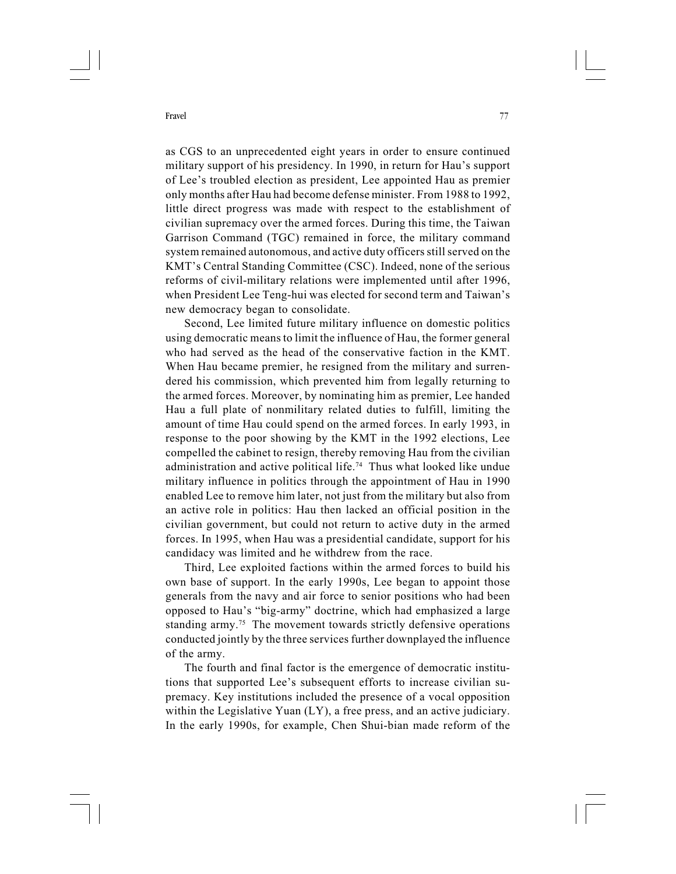as CGS to an unprecedented eight years in order to ensure continued military support of his presidency. In 1990, in return for Hau's support of Lee's troubled election as president, Lee appointed Hau as premier only months after Hau had become defense minister. From 1988 to 1992, little direct progress was made with respect to the establishment of civilian supremacy over the armed forces. During this time, the Taiwan Garrison Command (TGC) remained in force, the military command system remained autonomous, and active duty officers still served on the KMT's Central Standing Committee (CSC). Indeed, none of the serious reforms of civil-military relations were implemented until after 1996, when President Lee Teng-hui was elected for second term and Taiwan's new democracy began to consolidate.

Second, Lee limited future military influence on domestic politics using democratic means to limit the influence of Hau, the former general who had served as the head of the conservative faction in the KMT. When Hau became premier, he resigned from the military and surrendered his commission, which prevented him from legally returning to the armed forces. Moreover, by nominating him as premier, Lee handed Hau a full plate of nonmilitary related duties to fulfill, limiting the amount of time Hau could spend on the armed forces. In early 1993, in response to the poor showing by the KMT in the 1992 elections, Lee compelled the cabinet to resign, thereby removing Hau from the civilian administration and active political life.74 Thus what looked like undue military influence in politics through the appointment of Hau in 1990 enabled Lee to remove him later, not just from the military but also from an active role in politics: Hau then lacked an official position in the civilian government, but could not return to active duty in the armed forces. In 1995, when Hau was a presidential candidate, support for his candidacy was limited and he withdrew from the race.

Third, Lee exploited factions within the armed forces to build his own base of support. In the early 1990s, Lee began to appoint those generals from the navy and air force to senior positions who had been opposed to Hau's "big-army" doctrine, which had emphasized a large standing army.<sup>75</sup> The movement towards strictly defensive operations conducted jointly by the three services further downplayed the influence of the army.

The fourth and final factor is the emergence of democratic institutions that supported Lee's subsequent efforts to increase civilian supremacy. Key institutions included the presence of a vocal opposition within the Legislative Yuan (LY), a free press, and an active judiciary. In the early 1990s, for example, Chen Shui-bian made reform of the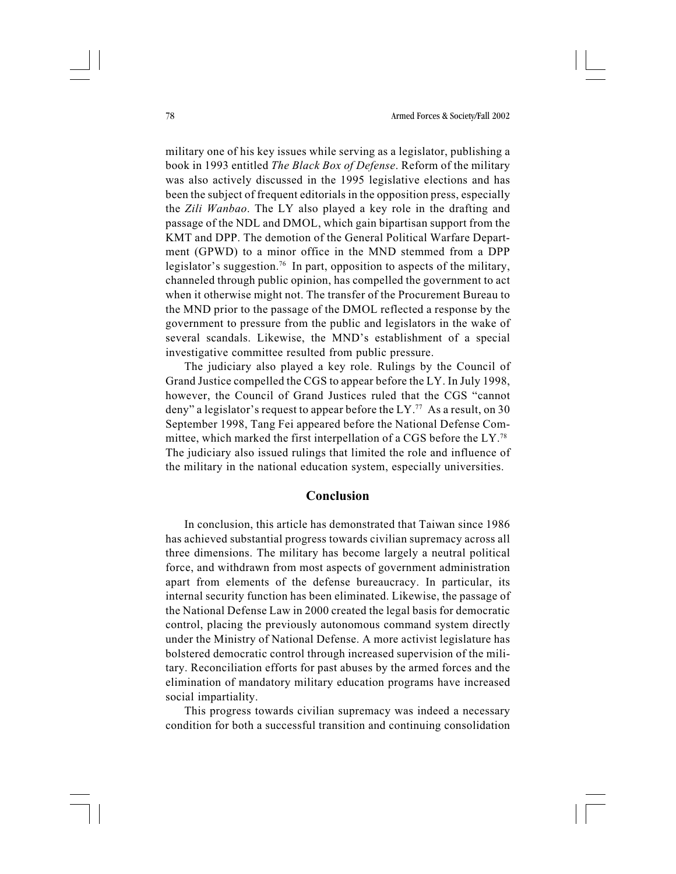military one of his key issues while serving as a legislator, publishing a book in 1993 entitled The Black Box of Defense. Reform of the military was also actively discussed in the 1995 legislative elections and has been the subject of frequent editorials in the opposition press, especially the Zili Wanbao. The LY also played a key role in the drafting and passage of the NDL and DMOL, which gain bipartisan support from the KMT and DPP. The demotion of the General Political Warfare Department (GPWD) to a minor office in the MND stemmed from a DPP legislator's suggestion.<sup>76</sup> In part, opposition to aspects of the military, channeled through public opinion, has compelled the government to act when it otherwise might not. The transfer of the Procurement Bureau to the MND prior to the passage of the DMOL reflected a response by the government to pressure from the public and legislators in the wake of several scandals. Likewise, the MND's establishment of a special investigative committee resulted from public pressure.

The judiciary also played a key role. Rulings by the Council of Grand Justice compelled the CGS to appear before the LY. In July 1998, however, the Council of Grand Justices ruled that the CGS "cannot deny" a legislator's request to appear before the  $LY$ .<sup>77</sup> As a result, on 30 September 1998, Tang Fei appeared before the National Defense Committee, which marked the first interpellation of a CGS before the LY.78 The judiciary also issued rulings that limited the role and influence of the military in the national education system, especially universities.

# Conclusion

In conclusion, this article has demonstrated that Taiwan since 1986 has achieved substantial progress towards civilian supremacy across all three dimensions. The military has become largely a neutral political force, and withdrawn from most aspects of government administration apart from elements of the defense bureaucracy. In particular, its internal security function has been eliminated. Likewise, the passage of the National Defense Law in 2000 created the legal basis for democratic control, placing the previously autonomous command system directly under the Ministry of National Defense. A more activist legislature has bolstered democratic control through increased supervision of the military. Reconciliation efforts for past abuses by the armed forces and the elimination of mandatory military education programs have increased social impartiality.

This progress towards civilian supremacy was indeed a necessary condition for both a successful transition and continuing consolidation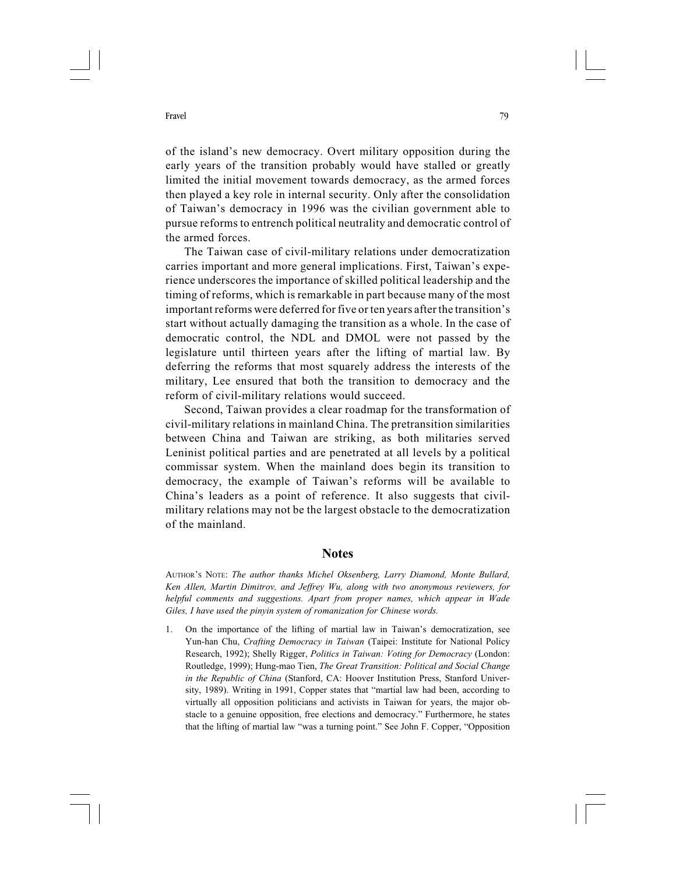of the island's new democracy. Overt military opposition during the early years of the transition probably would have stalled or greatly limited the initial movement towards democracy, as the armed forces then played a key role in internal security. Only after the consolidation of Taiwan's democracy in 1996 was the civilian government able to pursue reforms to entrench political neutrality and democratic control of the armed forces.

The Taiwan case of civil-military relations under democratization carries important and more general implications. First, Taiwan's experience underscores the importance of skilled political leadership and the timing of reforms, which is remarkable in part because many of the most important reforms were deferred for five or ten years after the transition's start without actually damaging the transition as a whole. In the case of democratic control, the NDL and DMOL were not passed by the legislature until thirteen years after the lifting of martial law. By deferring the reforms that most squarely address the interests of the military, Lee ensured that both the transition to democracy and the reform of civil-military relations would succeed.

Second, Taiwan provides a clear roadmap for the transformation of civil-military relations in mainland China. The pretransition similarities between China and Taiwan are striking, as both militaries served Leninist political parties and are penetrated at all levels by a political commissar system. When the mainland does begin its transition to democracy, the example of Taiwan's reforms will be available to China's leaders as a point of reference. It also suggests that civilmilitary relations may not be the largest obstacle to the democratization of the mainland.

# **Notes**

AUTHOR'S NOTE: The author thanks Michel Oksenberg, Larry Diamond, Monte Bullard, Ken Allen, Martin Dimitrov, and Jeffrey Wu, along with two anonymous reviewers, for helpful comments and suggestions. Apart from proper names, which appear in Wade Giles, I have used the pinyin system of romanization for Chinese words.

1. On the importance of the lifting of martial law in Taiwan's democratization, see Yun-han Chu, Crafting Democracy in Taiwan (Taipei: Institute for National Policy Research, 1992); Shelly Rigger, Politics in Taiwan: Voting for Democracy (London: Routledge, 1999); Hung-mao Tien, The Great Transition: Political and Social Change in the Republic of China (Stanford, CA: Hoover Institution Press, Stanford University, 1989). Writing in 1991, Copper states that "martial law had been, according to virtually all opposition politicians and activists in Taiwan for years, the major obstacle to a genuine opposition, free elections and democracy." Furthermore, he states that the lifting of martial law "was a turning point." See John F. Copper, "Opposition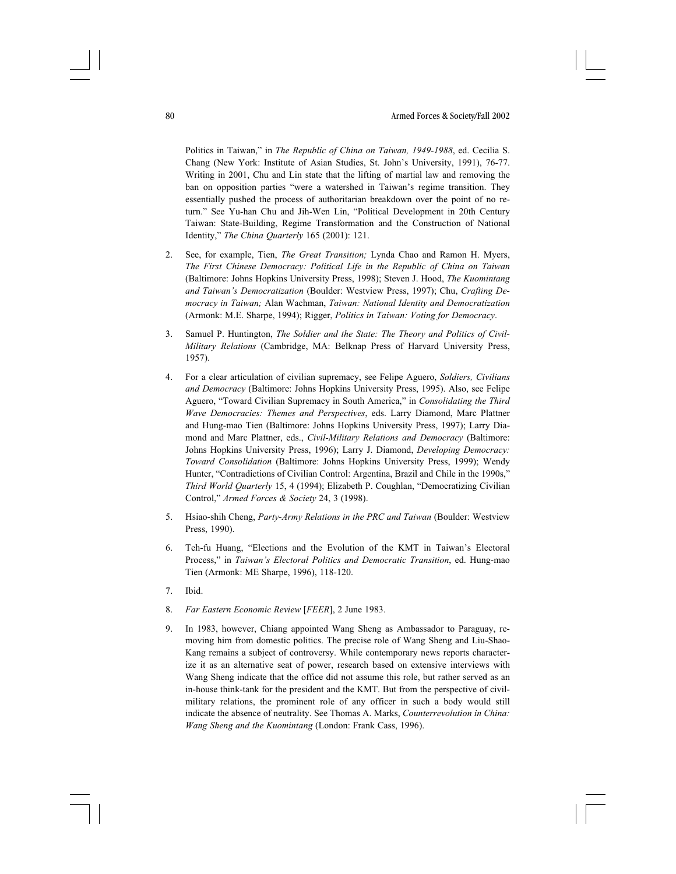Politics in Taiwan," in The Republic of China on Taiwan, 1949-1988, ed. Cecilia S. Chang (New York: Institute of Asian Studies, St. John's University, 1991), 76-77. Writing in 2001, Chu and Lin state that the lifting of martial law and removing the ban on opposition parties "were a watershed in Taiwan's regime transition. They essentially pushed the process of authoritarian breakdown over the point of no return." See Yu-han Chu and Jih-Wen Lin, "Political Development in 20th Century Taiwan: State-Building, Regime Transformation and the Construction of National Identity," The China Quarterly 165 (2001): 121.

- 2. See, for example, Tien, *The Great Transition*: Lynda Chao and Ramon H. Myers, The First Chinese Democracy: Political Life in the Republic of China on Taiwan (Baltimore: Johns Hopkins University Press, 1998); Steven J. Hood, The Kuomintang and Taiwan's Democratization (Boulder: Westview Press, 1997); Chu, Crafting Democracy in Taiwan; Alan Wachman, Taiwan: National Identity and Democratization (Armonk: M.E. Sharpe, 1994); Rigger, Politics in Taiwan: Voting for Democracy.
- 3. Samuel P. Huntington, The Soldier and the State: The Theory and Politics of Civil-Military Relations (Cambridge, MA: Belknap Press of Harvard University Press, 1957).
- 4. For a clear articulation of civilian supremacy, see Felipe Aguero, Soldiers, Civilians and Democracy (Baltimore: Johns Hopkins University Press, 1995). Also, see Felipe Aguero, "Toward Civilian Supremacy in South America," in Consolidating the Third Wave Democracies: Themes and Perspectives, eds. Larry Diamond, Marc Plattner and Hung-mao Tien (Baltimore: Johns Hopkins University Press, 1997); Larry Diamond and Marc Plattner, eds., Civil-Military Relations and Democracy (Baltimore: Johns Hopkins University Press, 1996); Larry J. Diamond, Developing Democracy: Toward Consolidation (Baltimore: Johns Hopkins University Press, 1999); Wendy Hunter, "Contradictions of Civilian Control: Argentina, Brazil and Chile in the 1990s," Third World Quarterly 15, 4 (1994); Elizabeth P. Coughlan, "Democratizing Civilian Control," Armed Forces & Society 24, 3 (1998).
- 5. Hsiao-shih Cheng, Party-Army Relations in the PRC and Taiwan (Boulder: Westview Press, 1990).
- 6. Teh-fu Huang, "Elections and the Evolution of the KMT in Taiwan's Electoral Process," in Taiwan's Electoral Politics and Democratic Transition, ed. Hung-mao Tien (Armonk: ME Sharpe, 1996), 118-120.
- 7. Ibid.
- 8. Far Eastern Economic Review [FEER], 2 June 1983.
- 9. In 1983, however, Chiang appointed Wang Sheng as Ambassador to Paraguay, removing him from domestic politics. The precise role of Wang Sheng and Liu-Shao-Kang remains a subject of controversy. While contemporary news reports characterize it as an alternative seat of power, research based on extensive interviews with Wang Sheng indicate that the office did not assume this role, but rather served as an in-house think-tank for the president and the KMT. But from the perspective of civilmilitary relations, the prominent role of any officer in such a body would still indicate the absence of neutrality. See Thomas A. Marks, Counterrevolution in China: Wang Sheng and the Kuomintang (London: Frank Cass, 1996).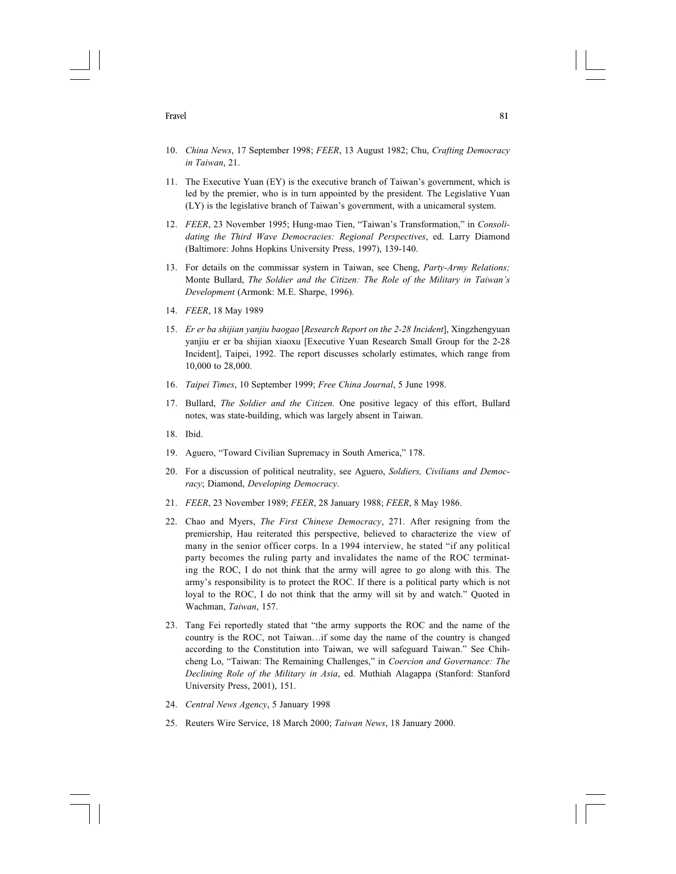- 10. China News, 17 September 1998; FEER, 13 August 1982; Chu, Crafting Democracy in Taiwan, 21.
- 11. The Executive Yuan (EY) is the executive branch of Taiwan's government, which is led by the premier, who is in turn appointed by the president. The Legislative Yuan (LY) is the legislative branch of Taiwan's government, with a unicameral system.
- 12. FEER, 23 November 1995; Hung-mao Tien, "Taiwan's Transformation," in Consolidating the Third Wave Democracies: Regional Perspectives, ed. Larry Diamond (Baltimore: Johns Hopkins University Press, 1997), 139-140.
- 13. For details on the commissar system in Taiwan, see Cheng, *Party-Army Relations*; Monte Bullard, The Soldier and the Citizen: The Role of the Military in Taiwan's Development (Armonk: M.E. Sharpe, 1996).
- 14. FEER, 18 May 1989
- 15. Er er ba shijian yanjiu baogao [Research Report on the 2-28 Incident], Xingzhengyuan yanjiu er er ba shijian xiaoxu [Executive Yuan Research Small Group for the 2-28 Incident], Taipei, 1992. The report discusses scholarly estimates, which range from 10,000 to 28,000.
- 16. Taipei Times, 10 September 1999; Free China Journal, 5 June 1998.
- 17. Bullard, *The Soldier and the Citizen*. One positive legacy of this effort, Bullard notes, was state-building, which was largely absent in Taiwan.
- 18. Ibid.
- 19. Aguero, "Toward Civilian Supremacy in South America," 178.
- 20. For a discussion of political neutrality, see Aguero, Soldiers, Civilians and Democracy; Diamond, Developing Democracy.
- 21. FEER, 23 November 1989; FEER, 28 January 1988; FEER, 8 May 1986.
- 22. Chao and Myers, *The First Chinese Democracy*, 271. After resigning from the premiership, Hau reiterated this perspective, believed to characterize the view of many in the senior officer corps. In a 1994 interview, he stated "if any political party becomes the ruling party and invalidates the name of the ROC terminating the ROC, I do not think that the army will agree to go along with this. The army's responsibility is to protect the ROC. If there is a political party which is not loyal to the ROC, I do not think that the army will sit by and watch." Quoted in Wachman, Taiwan, 157.
- 23. Tang Fei reportedly stated that "the army supports the ROC and the name of the country is the ROC, not Taiwan…if some day the name of the country is changed according to the Constitution into Taiwan, we will safeguard Taiwan." See Chihcheng Lo, "Taiwan: The Remaining Challenges," in Coercion and Governance: The Declining Role of the Military in Asia, ed. Muthiah Alagappa (Stanford: Stanford University Press, 2001), 151.
- 24. Central News Agency, 5 January 1998
- 25. Reuters Wire Service, 18 March 2000; Taiwan News, 18 January 2000.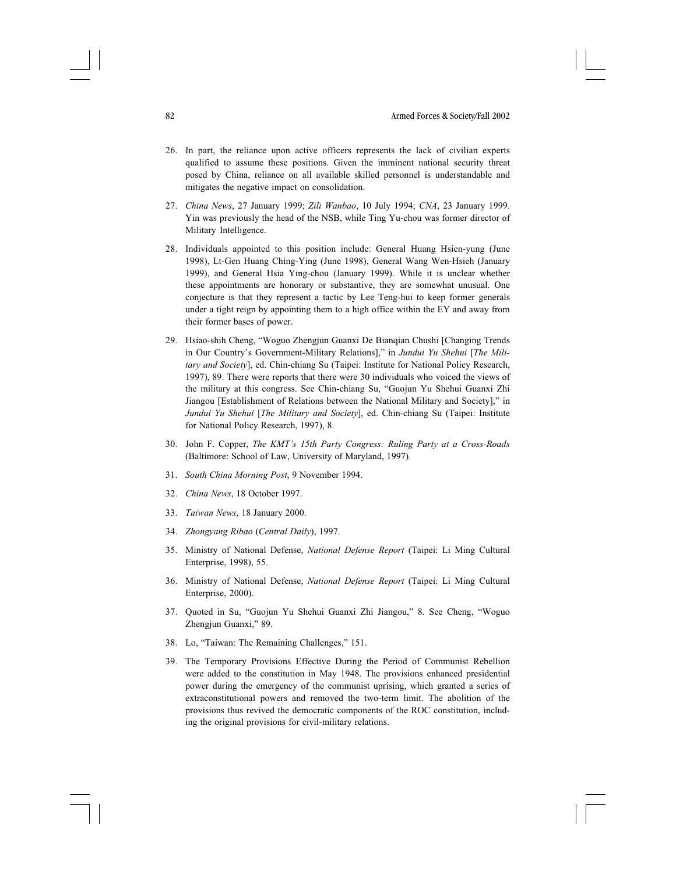- 26. In part, the reliance upon active officers represents the lack of civilian experts qualified to assume these positions. Given the imminent national security threat posed by China, reliance on all available skilled personnel is understandable and mitigates the negative impact on consolidation.
- 27. China News, 27 January 1999; Zili Wanbao, 10 July 1994; CNA, 23 January 1999. Yin was previously the head of the NSB, while Ting Yu-chou was former director of Military Intelligence.
- 28. Individuals appointed to this position include: General Huang Hsien-yung (June 1998), Lt-Gen Huang Ching-Ying (June 1998), General Wang Wen-Hsieh (January 1999), and General Hsia Ying-chou (January 1999). While it is unclear whether these appointments are honorary or substantive, they are somewhat unusual. One conjecture is that they represent a tactic by Lee Teng-hui to keep former generals under a tight reign by appointing them to a high office within the EY and away from their former bases of power.
- 29. Hsiao-shih Cheng, "Woguo Zhengjun Guanxi De Bianqian Chushi [Changing Trends in Our Country's Government-Military Relations]," in Jundui Yu Shehui [The Military and Society], ed. Chin-chiang Su (Taipei: Institute for National Policy Research, 1997), 89. There were reports that there were 30 individuals who voiced the views of the military at this congress. See Chin-chiang Su, "Guojun Yu Shehui Guanxi Zhi Jiangou [Establishment of Relations between the National Military and Society]," in Jundui Yu Shehui [The Military and Society], ed. Chin-chiang Su (Taipei: Institute for National Policy Research, 1997), 8.
- 30. John F. Copper, The KMT's 15th Party Congress: Ruling Party at a Cross-Roads (Baltimore: School of Law, University of Maryland, 1997).
- 31. South China Morning Post, 9 November 1994.
- 32. China News, 18 October 1997.
- 33. Taiwan News, 18 January 2000.
- 34. Zhongyang Ribao (Central Daily), 1997.
- 35. Ministry of National Defense, National Defense Report (Taipei: Li Ming Cultural Enterprise, 1998), 55.
- 36. Ministry of National Defense, National Defense Report (Taipei: Li Ming Cultural Enterprise, 2000).
- 37. Quoted in Su, "Guojun Yu Shehui Guanxi Zhi Jiangou," 8. See Cheng, "Woguo Zhengjun Guanxi," 89.
- 38. Lo, "Taiwan: The Remaining Challenges," 151.
- 39. The Temporary Provisions Effective During the Period of Communist Rebellion were added to the constitution in May 1948. The provisions enhanced presidential power during the emergency of the communist uprising, which granted a series of extraconstitutional powers and removed the two-term limit. The abolition of the provisions thus revived the democratic components of the ROC constitution, including the original provisions for civil-military relations.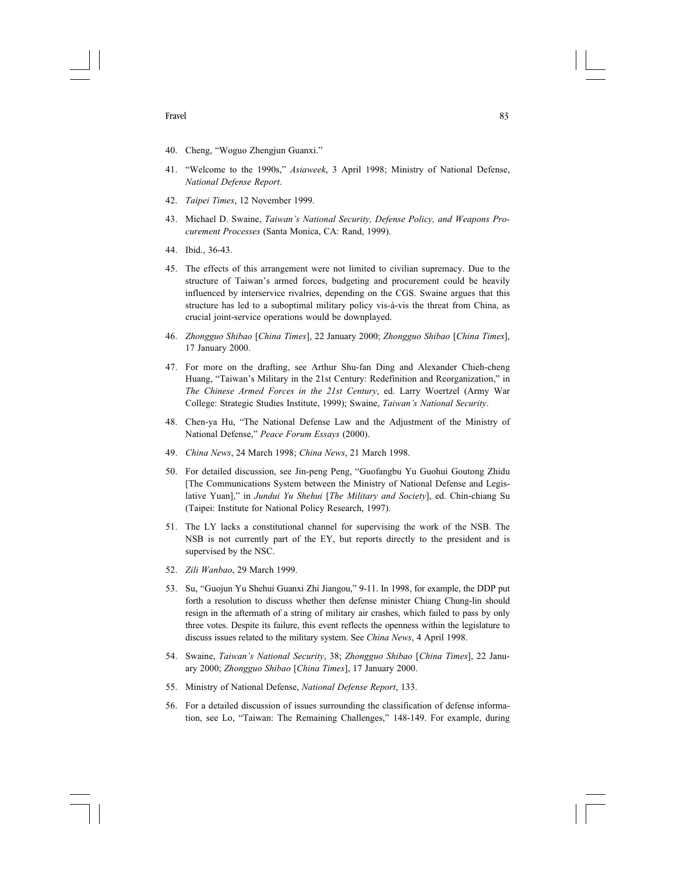- 40. Cheng, "Woguo Zhengjun Guanxi."
- 41. "Welcome to the 1990s," Asiaweek, 3 April 1998; Ministry of National Defense, National Defense Report.
- 42. Taipei Times, 12 November 1999.
- 43. Michael D. Swaine, Taiwan's National Security, Defense Policy, and Weapons Procurement Processes (Santa Monica, CA: Rand, 1999).
- 44. Ibid., 36-43.
- 45. The effects of this arrangement were not limited to civilian supremacy. Due to the structure of Taiwan's armed forces, budgeting and procurement could be heavily influenced by interservice rivalries, depending on the CGS. Swaine argues that this structure has led to a suboptimal military policy vis-à-vis the threat from China, as crucial joint-service operations would be downplayed.
- 46. Zhongguo Shibao [China Times], 22 January 2000; Zhongguo Shibao [China Times], 17 January 2000.
- 47. For more on the drafting, see Arthur Shu-fan Ding and Alexander Chieh-cheng Huang, "Taiwan's Military in the 21st Century: Redefinition and Reorganization," in The Chinese Armed Forces in the 21st Century, ed. Larry Woertzel (Army War College: Strategic Studies Institute, 1999); Swaine, Taiwan's National Security.
- 48. Chen-ya Hu, "The National Defense Law and the Adjustment of the Ministry of National Defense," Peace Forum Essays (2000).
- 49. China News, 24 March 1998; China News, 21 March 1998.
- 50. For detailed discussion, see Jin-peng Peng, "Guofangbu Yu Guohui Goutong Zhidu [The Communications System between the Ministry of National Defense and Legislative Yuan]," in Jundui Yu Shehui [The Military and Society], ed. Chin-chiang Su (Taipei: Institute for National Policy Research, 1997).
- 51. The LY lacks a constitutional channel for supervising the work of the NSB. The NSB is not currently part of the EY, but reports directly to the president and is supervised by the NSC.
- 52. Zili Wanbao, 29 March 1999.
- 53. Su, "Guojun Yu Shehui Guanxi Zhi Jiangou," 9-11. In 1998, for example, the DDP put forth a resolution to discuss whether then defense minister Chiang Chung-lin should resign in the aftermath of a string of military air crashes, which failed to pass by only three votes. Despite its failure, this event reflects the openness within the legislature to discuss issues related to the military system. See China News, 4 April 1998.
- 54. Swaine, Taiwan's National Security, 38; Zhongguo Shibao [China Times], 22 January 2000; Zhongguo Shibao [China Times], 17 January 2000.
- 55. Ministry of National Defense, National Defense Report, 133.
- 56. For a detailed discussion of issues surrounding the classification of defense information, see Lo, "Taiwan: The Remaining Challenges," 148-149. For example, during